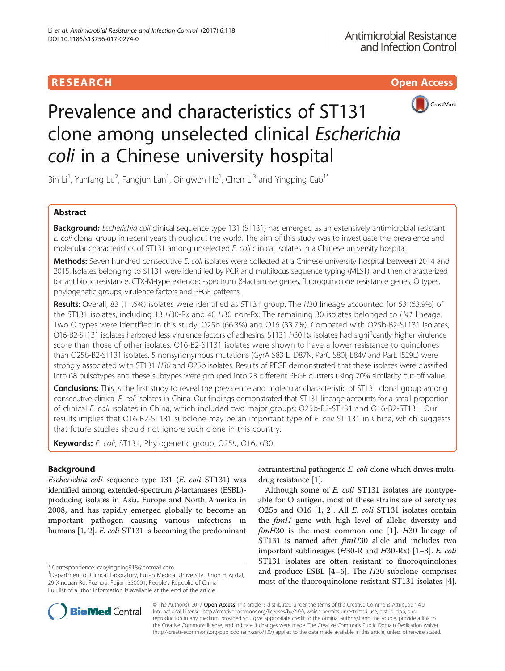# **RESEARCH CHILD CONTROL** CONTROL CONTROL CONTROL CONTROL CONTROL CONTROL CONTROL CONTROL CONTROL CONTROL CONTROL CONTROL CONTROL CONTROL CONTROL CONTROL CONTROL CONTROL CONTROL CONTROL CONTROL CONTROL CONTROL CONTROL CONTR



# Prevalence and characteristics of ST131 clone among unselected clinical Escherichia coli in a Chinese university hospital

Bin Li<sup>1</sup>, Yanfang Lu<sup>2</sup>, Fangjun Lan<sup>1</sup>, Qingwen He<sup>1</sup>, Chen Li<sup>3</sup> and Yingping Cao<sup>1\*</sup>

# Abstract

Background: Escherichia coli clinical sequence type 131 (ST131) has emerged as an extensively antimicrobial resistant E. coli clonal group in recent years throughout the world. The aim of this study was to investigate the prevalence and molecular characteristics of ST131 among unselected E. coli clinical isolates in a Chinese university hospital.

Methods: Seven hundred consecutive E. coli isolates were collected at a Chinese university hospital between 2014 and 2015. Isolates belonging to ST131 were identified by PCR and multilocus sequence typing (MLST), and then characterized for antibiotic resistance, CTX-M-type extended-spectrum β-lactamase genes, fluoroquinolone resistance genes, O types, phylogenetic groups, virulence factors and PFGE patterns.

Results: Overall, 83 (11.6%) isolates were identified as ST131 group. The H30 lineage accounted for 53 (63.9%) of the ST131 isolates, including 13 H30-Rx and 40 H30 non-Rx. The remaining 30 isolates belonged to H41 lineage. Two O types were identified in this study: O25b (66.3%) and O16 (33.7%). Compared with O25b-B2-ST131 isolates, O16-B2-ST131 isolates harbored less virulence factors of adhesins. ST131 H30 Rx isolates had significantly higher virulence score than those of other isolates. O16-B2-ST131 isolates were shown to have a lower resistance to quinolones than O25b-B2-ST131 isolates. 5 nonsynonymous mutations (GyrA S83 L, D87N, ParC S80I, E84V and ParE I529L) were strongly associated with ST131 H30 and O25b isolates. Results of PFGE demonstrated that these isolates were classified into 68 pulsotypes and these subtypes were grouped into 23 different PFGE clusters using 70% similarity cut-off value.

Conclusions: This is the first study to reveal the prevalence and molecular characteristic of ST131 clonal group among consecutive clinical E. coli isolates in China. Our findings demonstrated that ST131 lineage accounts for a small proportion of clinical E. coli isolates in China, which included two major groups: O25b-B2-ST131 and O16-B2-ST131. Our results implies that O16-B2-ST131 subclone may be an important type of E. coli ST 131 in China, which suggests that future studies should not ignore such clone in this country.

Keywords: E. coli, ST131, Phylogenetic group, O25b, O16, H30

# Background

Escherichia coli sequence type 131 (E. coli ST131) was identified among extended-spectrum β-lactamases (ESBL) producing isolates in Asia, Europe and North America in 2008, and has rapidly emerged globally to become an important pathogen causing various infections in humans [\[1](#page-8-0), [2\]](#page-8-0). *E. coli* ST131 is becoming the predominant

\* Correspondence: [caoyingping918@hotmail.com](mailto:caoyingping918@hotmail.com) <sup>1</sup>

extraintestinal pathogenic E. coli clone which drives multidrug resistance [[1\]](#page-8-0).

Although some of E. coli ST131 isolates are nontypeable for O antigen, most of these strains are of serotypes O25b and O16 [\[1](#page-8-0), [2](#page-8-0)]. All E. coli ST131 isolates contain the *fimH* gene with high level of allelic diversity and  $f_{im}H30$  is the most common one [[1\]](#page-8-0).  $H30$  lineage of ST131 is named after  $f_{im}H30$  allele and includes two important sublineages (H30-R and H30-Rx) [[1](#page-8-0)–[3\]](#page-8-0). E. coli ST131 isolates are often resistant to fluoroquinolones and produce ESBL [[4](#page-8-0)–[6](#page-8-0)]. The H30 subclone comprises most of the fluoroquinolone-resistant ST131 isolates [\[4](#page-8-0)].



© The Author(s). 2017 **Open Access** This article is distributed under the terms of the Creative Commons Attribution 4.0 International License [\(http://creativecommons.org/licenses/by/4.0/](http://creativecommons.org/licenses/by/4.0/)), which permits unrestricted use, distribution, and reproduction in any medium, provided you give appropriate credit to the original author(s) and the source, provide a link to the Creative Commons license, and indicate if changes were made. The Creative Commons Public Domain Dedication waiver [\(http://creativecommons.org/publicdomain/zero/1.0/](http://creativecommons.org/publicdomain/zero/1.0/)) applies to the data made available in this article, unless otherwise stated.

<sup>&</sup>lt;sup>1</sup>Department of Clinical Laboratory, Fujian Medical University Union Hospital, 29 Xinquan Rd, Fuzhou, Fujian 350001, People's Republic of China Full list of author information is available at the end of the article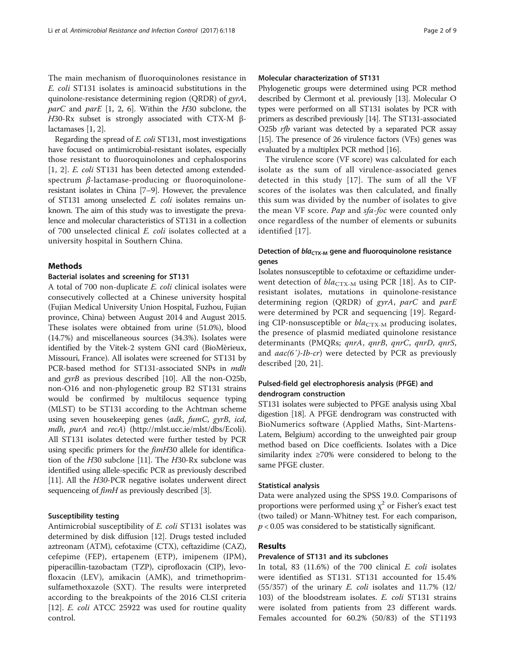The main mechanism of fluoroquinolones resistance in E. coli ST131 isolates is aminoacid substitutions in the quinolone-resistance determining region (QRDR) of gyrA,  $parC$  and  $parE$  [\[1](#page-8-0), [2, 6\]](#page-8-0). Within the H30 subclone, the H30-Rx subset is strongly associated with CTX-M βlactamases [\[1, 2](#page-8-0)].

Regarding the spread of E. coli ST131, most investigations have focused on antimicrobial-resistant isolates, especially those resistant to fluoroquinolones and cephalosporins [[1](#page-8-0), [2](#page-8-0)]. E. coli ST131 has been detected among extendedspectrum β-lactamase-producing or fluoroquinoloneresistant isolates in China [[7](#page-8-0)–[9\]](#page-8-0). However, the prevalence of ST131 among unselected E. coli isolates remains unknown. The aim of this study was to investigate the prevalence and molecular characteristics of ST131 in a collection of 700 unselected clinical E. coli isolates collected at a university hospital in Southern China.

#### Methods

#### Bacterial isolates and screening for ST131

A total of 700 non-duplicate E. coli clinical isolates were consecutively collected at a Chinese university hospital (Fujian Medical University Union Hospital, Fuzhou, Fujian province, China) between August 2014 and August 2015. These isolates were obtained from urine (51.0%), blood (14.7%) and miscellaneous sources (34.3%). Isolates were identified by the Vitek-2 system GNI card (BioMèrieux, Missouri, France). All isolates were screened for ST131 by PCR-based method for ST131-associated SNPs in mdh and gyrB as previous described [[10](#page-8-0)]. All the non-O25b, non-O16 and non-phylogenetic group B2 ST131 strains would be confirmed by multilocus sequence typing (MLST) to be ST131 according to the Achtman scheme using seven housekeeping genes (adk, fumC, gyrB, icd, mdh, purA and recA) [\(http://mlst.ucc.ie/mlst/dbs/Ecoli](http://mlst.ucc.ie/mlst/dbs/Ecoli)). All ST131 isolates detected were further tested by PCR using specific primers for the fimH30 allele for identification of the H30 subclone [\[11\]](#page-8-0). The H30-Rx subclone was identified using allele-specific PCR as previously described [[11](#page-8-0)]. All the H30-PCR negative isolates underwent direct sequenceing of fimH as previously described [[3](#page-8-0)].

#### Susceptibility testing

Antimicrobial susceptibility of E. coli ST131 isolates was determined by disk diffusion [[12](#page-8-0)]. Drugs tested included aztreonam (ATM), cefotaxime (CTX), ceftazidime (CAZ), cefepime (FEP), ertapenem (ETP), imipenem (IPM), piperacillin-tazobactam (TZP), ciprofloxacin (CIP), levofloxacin (LEV), amikacin (AMK), and trimethoprimsulfamethoxazole (SXT). The results were interpreted according to the breakpoints of the 2016 CLSI criteria [[12\]](#page-8-0). *E. coli* ATCC 25922 was used for routine quality control.

#### Molecular characterization of ST131

Phylogenetic groups were determined using PCR method described by Clermont et al. previously [\[13\]](#page-8-0). Molecular O types were performed on all ST131 isolates by PCR with primers as described previously [\[14\]](#page-8-0). The ST131-associated O25b rfb variant was detected by a separated PCR assay [[15](#page-8-0)]. The presence of 26 virulence factors (VFs) genes was evaluated by a multiplex PCR method [[16](#page-8-0)].

The virulence score (VF score) was calculated for each isolate as the sum of all virulence-associated genes detected in this study [\[17\]](#page-8-0). The sum of all the VF scores of the isolates was then calculated, and finally this sum was divided by the number of isolates to give the mean VF score. Pap and sfa-foc were counted only once regardless of the number of elements or subunits identified [\[17](#page-8-0)].

# Detection of  $bla_{CTX-M}$  gene and fluoroquinolone resistance genes

Isolates nonsusceptible to cefotaxime or ceftazidime underwent detection of  $bla_{\text{CTX-}M}$  using PCR [\[18](#page-8-0)]. As to CIPresistant isolates, mutations in quinolone-resistance determining region (QRDR) of gyrA, parC and parE were determined by PCR and sequencing [[19\]](#page-8-0). Regarding CIP-nonsusceptible or  $bla_{\rm CTX\text{-}M}$  producing isolates, the presence of plasmid mediated quinolone resistance determinants (PMQRs; qnrA, qnrB, qnrC, qnrD, qnrS, and  $aac(6')$ -Ib-cr) were detected by PCR as previously described [\[20, 21\]](#page-8-0).

# Pulsed-field gel electrophoresis analysis (PFGE) and dendrogram construction

ST131 isolates were subjected to PFGE analysis using XbaI digestion [[18](#page-8-0)]. A PFGE dendrogram was constructed with BioNumerics software (Applied Maths, Sint-Martens-Latem, Belgium) according to the unweighted pair group method based on Dice coefficients. Isolates with a Dice similarity index ≥70% were considered to belong to the same PFGE cluster.

#### Statistical analysis

Data were analyzed using the SPSS 19.0. Comparisons of proportions were performed using  $\chi^2$  or Fisher's exact test (two tailed) or Mann-Whitney test. For each comparison,  $p < 0.05$  was considered to be statistically significant.

### Results

#### Prevalence of ST131 and its subclones

In total, 83 (11.6%) of the 700 clinical E. coli isolates were identified as ST131. ST131 accounted for 15.4%  $(55/357)$  of the urinary *E. coli* isolates and 11.7%  $(12/$ 103) of the bloodstream isolates. E. coli ST131 strains were isolated from patients from 23 different wards. Females accounted for 60.2% (50/83) of the ST1193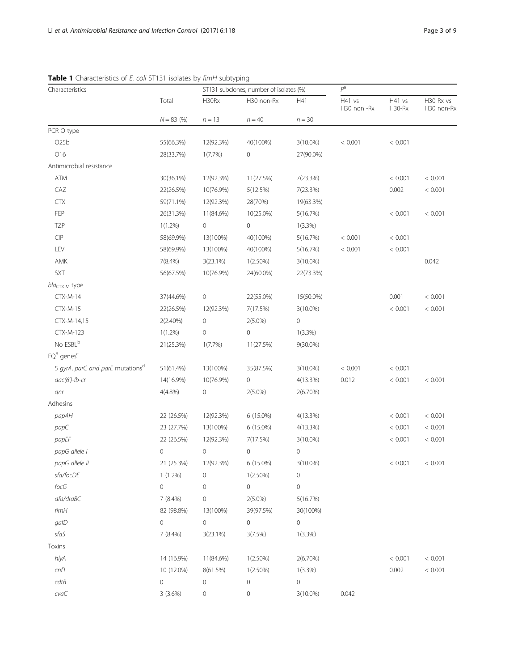| Characteristics                                                                              |                | ST131 subclones, number of isolates (%) |                |                | $P^a$                 |                  |                         |
|----------------------------------------------------------------------------------------------|----------------|-----------------------------------------|----------------|----------------|-----------------------|------------------|-------------------------|
|                                                                                              | Total          | H30Rx                                   | H30 non-Rx     | H41            | H41 vs<br>H30 non -Rx | H41 vs<br>H30-Rx | H30 Rx vs<br>H30 non-Rx |
|                                                                                              | $N = 83$ (%)   | $n = 13$                                | $n = 40$       | $n = 30$       |                       |                  |                         |
| PCR O type                                                                                   |                |                                         |                |                |                       |                  |                         |
| O25b                                                                                         | 55(66.3%)      | 12(92.3%)                               | 40(100%)       | $3(10.0\%)$    | < 0.001               | < 0.001          |                         |
| O16                                                                                          | 28(33.7%)      | 1(7.7%)                                 | $\mathbf 0$    | 27(90.0%)      |                       |                  |                         |
| Antimicrobial resistance                                                                     |                |                                         |                |                |                       |                  |                         |
| ATM                                                                                          | 30(36.1%)      | 12(92.3%)                               | 11(27.5%)      | 7(23.3%)       |                       | < 0.001          | < 0.001                 |
| CAZ                                                                                          | 22(26.5%)      | 10(76.9%)                               | 5(12.5%)       | 7(23.3%)       |                       | 0.002            | < 0.001                 |
| <b>CTX</b>                                                                                   | 59(71.1%)      | 12(92.3%)                               | 28(70%)        | 19(63.3%)      |                       |                  |                         |
| FEP                                                                                          | 26(31.3%)      | 11(84.6%)                               | 10(25.0%)      | 5(16.7%)       |                       | < 0.001          | < 0.001                 |
| <b>TZP</b>                                                                                   | $1(1.2\%)$     | 0                                       | 0              | $1(3.3\%)$     |                       |                  |                         |
| $\ensuremath{\mathsf{C}}\xspace\ensuremath{\mathsf{I}}\xspace\ensuremath{\mathsf{P}}\xspace$ | 58(69.9%)      | 13(100%)                                | 40(100%)       | 5(16.7%)       | < 0.001               | < 0.001          |                         |
| LEV                                                                                          | 58(69.9%)      | 13(100%)                                | 40(100%)       | 5(16.7%)       | < 0.001               | < 0.001          |                         |
| AMK                                                                                          | 7(8.4%)        | 3(23.1%)                                | $1(2.50\%)$    | $3(10.0\%)$    |                       |                  | 0.042                   |
| SXT                                                                                          | 56(67.5%)      | 10(76.9%)                               | 24(60.0%)      | 22(73.3%)      |                       |                  |                         |
| $blaCTX-M$ type                                                                              |                |                                         |                |                |                       |                  |                         |
| $CTX-M-14$                                                                                   | 37(44.6%)      | 0                                       | 22(55.0%)      | 15(50.0%)      |                       | 0.001            | < 0.001                 |
| $CTX-M-15$                                                                                   | 22(26.5%)      | 12(92.3%)                               | 7(17.5%)       | $3(10.0\%)$    |                       | < 0.001          | < 0.001                 |
| CTX-M-14,15                                                                                  | 2(2.40%)       | 0                                       | $2(5.0\%)$     | 0              |                       |                  |                         |
| <b>CTX-M-123</b>                                                                             | $1(1.2\%)$     | 0                                       | 0              | $1(3.3\%)$     |                       |                  |                         |
| No ESBL <sup>b</sup>                                                                         | 21(25.3%)      | $1(7.7\%)$                              | 11(27.5%)      | 9(30.0%)       |                       |                  |                         |
| $\mathsf{FQ}^\mathsf{R}$ genes <sup>c</sup>                                                  |                |                                         |                |                |                       |                  |                         |
| 5 gyrA, parC and parE mutations <sup>d</sup>                                                 | 51(61.4%)      | 13(100%)                                | 35(87.5%)      | $3(10.0\%)$    | < 0.001               | < 0.001          |                         |
| $aac(6')$ -lb-cr                                                                             | 14(16.9%)      | 10(76.9%)                               | 0              | 4(13.3%)       | 0.012                 | < 0.001          | < 0.001                 |
| qnr                                                                                          | $4(4.8\%)$     | 0                                       | $2(5.0\%)$     | $2(6.70\%)$    |                       |                  |                         |
| Adhesins                                                                                     |                |                                         |                |                |                       |                  |                         |
| papAH                                                                                        | 22 (26.5%)     | 12(92.3%)                               | 6 (15.0%)      | 4(13.3%)       |                       | < 0.001          | < 0.001                 |
| papC                                                                                         | 23 (27.7%)     | 13(100%)                                | $6(15.0\%)$    | 4(13.3%)       |                       | < 0.001          | < 0.001                 |
| papEF                                                                                        | 22 (26.5%)     | 12(92.3%)                               | 7(17.5%)       | $3(10.0\%)$    |                       | < 0.001          | < 0.001                 |
| papG allele I                                                                                | 0              | 0                                       | $\mathbf 0$    | $\mathbb O$    |                       |                  |                         |
| papG allele II                                                                               | 21 (25.3%)     | 12(92.3%)                               | 6 (15.0%)      | 3(10.0%)       |                       | < 0.001          | < 0.001                 |
| sfa/focDE                                                                                    | $1(1.2\%)$     | 0                                       | $1(2.50\%)$    | 0              |                       |                  |                         |
| $\mathit{focG}$                                                                              | $\overline{O}$ | $\circ$                                 | $\overline{0}$ | 0              |                       |                  |                         |
| afa/draBC                                                                                    | $7(8.4\%)$     | 0                                       | $2(5.0\%)$     | 5(16.7%)       |                       |                  |                         |
| $f\!imH$                                                                                     | 82 (98.8%)     | 13(100%)                                | 39(97.5%)      | 30(100%)       |                       |                  |                         |
| gafD                                                                                         | 0              | $\overline{0}$                          | $\overline{0}$ | $\overline{0}$ |                       |                  |                         |
| sfaS                                                                                         | $7(8.4\%)$     | $3(23.1\%)$                             | 3(7.5%)        | $1(3.3\%)$     |                       |                  |                         |
| Toxins                                                                                       |                |                                         |                |                |                       |                  |                         |
| hlyA                                                                                         | 14 (16.9%)     | 11(84.6%)                               | $1(2.50\%)$    | 2(6.70%)       |                       | < 0.001          | < 0.001                 |
| $cnf1$                                                                                       | 10 (12.0%)     | 8(61.5%)                                | $1(2.50\%)$    | $1(3.3\%)$     |                       | 0.002            | < 0.001                 |
| cdtB                                                                                         | 0              | 0                                       | 0              | $\circ$        |                       |                  |                         |
| $c$ va $C$                                                                                   |                |                                         |                |                |                       |                  |                         |
|                                                                                              | 3(3.6%)        | 0                                       | 0              | $3(10.0\%)$    | 0.042                 |                  |                         |

<span id="page-2-0"></span>Table 1 Characteristics of E. coli ST131 isolates by fimH subtyping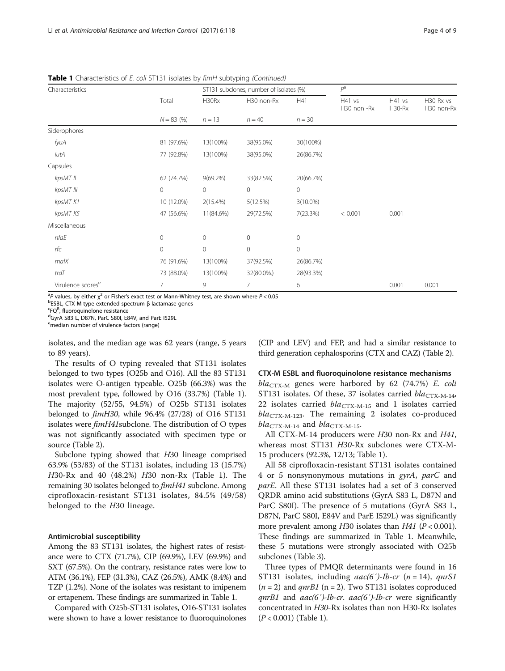| Table 1 Characteristics of E. coli ST131 isolates by fimH subtyping (Continued) |
|---------------------------------------------------------------------------------|
|---------------------------------------------------------------------------------|

| Characteristics               |              | ST131 subclones, number of isolates (%) |                |              | $P^a$                 |                  |                         |
|-------------------------------|--------------|-----------------------------------------|----------------|--------------|-----------------------|------------------|-------------------------|
|                               | Total        | H30Rx                                   | H30 non-Rx     | H41          | H41 vs<br>H30 non -Rx | H41 vs<br>H30-Rx | H30 Rx vs<br>H30 non-Rx |
|                               | $N = 83$ (%) | $n = 13$                                | $n = 40$       | $n = 30$     |                       |                  |                         |
| Siderophores                  |              |                                         |                |              |                       |                  |                         |
| fyuA                          | 81 (97.6%)   | 13(100%)                                | 38(95.0%)      | 30(100%)     |                       |                  |                         |
| iutA                          | 77 (92.8%)   | 13(100%)                                | 38(95.0%)      | 26(86.7%)    |                       |                  |                         |
| Capsules                      |              |                                         |                |              |                       |                  |                         |
| kpsMT II                      | 62 (74.7%)   | $9(69.2\%)$                             | 33(82.5%)      | 20(66.7%)    |                       |                  |                         |
| kpsMT III                     | $\circ$      | 0                                       | $\circ$        | $\circ$      |                       |                  |                         |
| kpsMT K1                      | 10 (12.0%)   | 2(15.4%)                                | 5(12.5%)       | $3(10.0\%)$  |                       |                  |                         |
| kpsMT K5                      | 47 (56.6%)   | 11(84.6%)                               | 29(72.5%)      | 7(23.3%)     | < 0.001               | 0.001            |                         |
| Miscellaneous                 |              |                                         |                |              |                       |                  |                         |
| nfaE                          | 0            | $\mathbf{0}$                            | $\mathbf{0}$   | $\circ$      |                       |                  |                         |
| rfc                           | $\circ$      | $\mathbf 0$                             | $\mathbf 0$    | $\mathbf{0}$ |                       |                  |                         |
| malX                          | 76 (91.6%)   | 13(100%)                                | 37(92.5%)      | 26(86.7%)    |                       |                  |                         |
| traT                          | 73 (88.0%)   | 13(100%)                                | 32(80.0%.)     | 28(93.3%)    |                       |                  |                         |
| Virulence scores <sup>e</sup> |              | 9                                       | $\overline{7}$ | 6            |                       | 0.001            | 0.001                   |

 $a^2P$  values, by either  $\chi^2$  or Fisher's exact test or Mann-Whitney test, are shown where  $P < 0.05$ <br>breps cry M type extended spectrum  $R$  lastamase gapes

bESBL, CTX-M-type extended-spectrum-β-lactamase genes

 ${}^{\mathsf{c}}\mathsf{FQ}^{\mathsf{R}}$ , fluoroquinolone resistance<br> ${}^{\mathsf{d}}\mathsf{G}_{\mathsf{V}\mathsf{r}}$ A S83 L D87N ParC S80L E9 dGyrA S83 L, D87N, ParC S80I, E84V, and ParE I529L

emedian number of virulence factors (range)

isolates, and the median age was 62 years (range, 5 years to 89 years).

The results of O typing revealed that ST131 isolates belonged to two types (O25b and O16). All the 83 ST131 isolates were O-antigen typeable. O25b (66.3%) was the most prevalent type, followed by O16 (33.7%) (Table [1](#page-2-0)). The majority (52/55, 94.5%) of O25b ST131 isolates belonged to fimH30, while 96.4% (27/28) of O16 ST131 isolates were fimH41subclone. The distribution of O types was not significantly associated with specimen type or source (Table [2\)](#page-4-0).

Subclone typing showed that H30 lineage comprised 63.9% (53/83) of the ST131 isolates, including 13 (15.7%) H30-Rx and 40 (48.2%) H30 non-Rx (Table [1](#page-2-0)). The remaining 30 isolates belonged to fimH41 subclone. Among ciprofloxacin-resistant ST131 isolates, 84.5% (49/58) belonged to the H30 lineage.

#### Antimicrobial susceptibility

Among the 83 ST131 isolates, the highest rates of resistance were to CTX (71.7%), CIP (69.9%), LEV (69.9%) and SXT (67.5%). On the contrary, resistance rates were low to ATM (36.1%), FEP (31.3%), CAZ (26.5%), AMK (8.4%) and TZP (1.2%). None of the isolates was resistant to imipenem or ertapenem. These findings are summarized in Table [1.](#page-2-0)

Compared with O25b-ST131 isolates, O16-ST131 isolates were shown to have a lower resistance to fluoroquinolones (CIP and LEV) and FEP, and had a similar resistance to third generation cephalosporins (CTX and CAZ) (Table [2](#page-4-0)).

#### CTX-M ESBL and fluoroquinolone resistance mechanisms

 $bla_{CTX-M}$  genes were harbored by 62 (74.7%) E. coli ST131 isolates. Of these, 37 isolates carried  $bla_{\text{CTX-M-14}}$ , 22 isolates carried  $bla_{CTX-M-15}$  and 1 isolates carried  $bla_{\text{CTX-M-123}}$ . The remaining 2 isolates co-produced  $bla_{\text{CTX-M-14}}$  and  $bla_{\text{CTX-M-15}}$ .

All CTX-M-14 producers were H30 non-Rx and H41, whereas most ST131 H30-Rx subclones were CTX-M-15 producers (92.3%, 12/13; Table [1](#page-2-0)).

All 58 ciprofloxacin-resistant ST131 isolates contained 4 or 5 nonsynonymous mutations in gyrA, parC and parE. All these ST131 isolates had a set of 3 conserved QRDR amino acid substitutions (GyrA S83 L, D87N and ParC S80I). The presence of 5 mutations (GyrA S83 L, D87N, ParC S80I, E84V and ParE I529L) was significantly more prevalent among  $H30$  isolates than  $H41$  ( $P < 0.001$ ). These findings are summarized in Table [1](#page-2-0). Meanwhile, these 5 mutations were strongly associated with O25b subclones (Table [3\)](#page-5-0).

Three types of PMQR determinants were found in 16 ST131 isolates, including  $aac(6')$ -Ib-cr (n = 14), qnrS1  $(n = 2)$  and *qnrB1* (n = 2). Two ST131 isolates coproduced  $qnrB1$  and  $aac(6')$ -Ib-cr.  $aac(6')$ -Ib-cr were significantly concentrated in H30-Rx isolates than non H30-Rx isolates  $(P < 0.001)$  (Table [1\)](#page-2-0).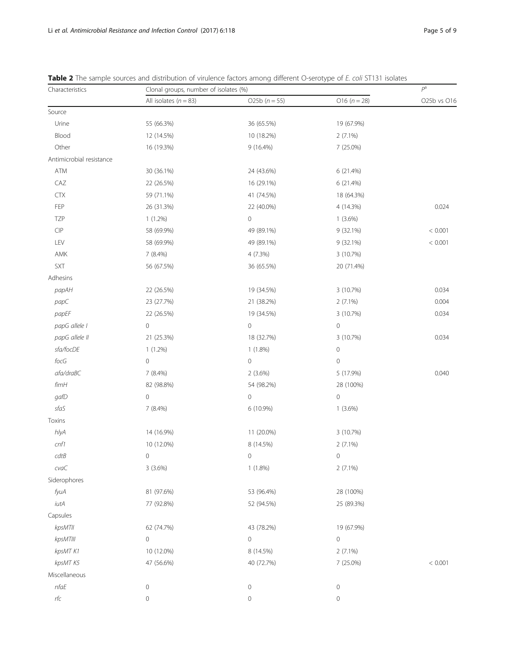| Characteristics                                                                              | Clonal groups, number of isolates (%) | $P^a$               |                     |             |
|----------------------------------------------------------------------------------------------|---------------------------------------|---------------------|---------------------|-------------|
|                                                                                              | All isolates $(n = 83)$               | O25b $(n = 55)$     | O16 ( $n = 28$ )    | O25b vs O16 |
| Source                                                                                       |                                       |                     |                     |             |
| Urine                                                                                        | 55 (66.3%)                            | 36 (65.5%)          | 19 (67.9%)          |             |
| Blood                                                                                        | 12 (14.5%)                            | 10 (18.2%)          | $2(7.1\%)$          |             |
| Other                                                                                        | 16 (19.3%)                            | 9 (16.4%)           | 7 (25.0%)           |             |
| Antimicrobial resistance                                                                     |                                       |                     |                     |             |
| ATM                                                                                          | 30 (36.1%)                            | 24 (43.6%)          | 6 (21.4%)           |             |
| CAZ                                                                                          | 22 (26.5%)                            | 16 (29.1%)          | 6 (21.4%)           |             |
| <b>CTX</b>                                                                                   | 59 (71.1%)                            | 41 (74.5%)          | 18 (64.3%)          |             |
| FEP                                                                                          | 26 (31.3%)                            | 22 (40.0%)          | 4 (14.3%)           | 0.024       |
| <b>TZP</b>                                                                                   | $1(1.2\%)$                            | $\mathbf 0$         | $1(3.6\%)$          |             |
| $\ensuremath{\mathsf{C}}\xspace\ensuremath{\mathsf{I}}\xspace\ensuremath{\mathsf{P}}\xspace$ | 58 (69.9%)                            | 49 (89.1%)          | 9 (32.1%)           | < 0.001     |
| LEV                                                                                          | 58 (69.9%)                            | 49 (89.1%)          | $9(32.1\%)$         | < 0.001     |
| AMK                                                                                          | 7 (8.4%)                              | 4(7.3%)             | 3 (10.7%)           |             |
| SXT                                                                                          | 56 (67.5%)                            | 36 (65.5%)          | 20 (71.4%)          |             |
| Adhesins                                                                                     |                                       |                     |                     |             |
| papAH                                                                                        | 22 (26.5%)                            | 19 (34.5%)          | 3 (10.7%)           | 0.034       |
| papC                                                                                         | 23 (27.7%)                            | 21 (38.2%)          | $2(7.1\%)$          | 0.004       |
| papEF                                                                                        | 22 (26.5%)                            | 19 (34.5%)          | 3 (10.7%)           | 0.034       |
| papG allele I                                                                                | $\circ$                               | $\mathbf 0$         | $\mathbf 0$         |             |
| papG allele II                                                                               | 21 (25.3%)                            | 18 (32.7%)          | 3 (10.7%)           | 0.034       |
| sfa/focDE                                                                                    | $1(1.2\%)$                            | $1(1.8\%)$          | $\mathbf 0$         |             |
| $\mathit{focG}$                                                                              | $\mathbf 0$                           | $\mathbf 0$         | $\mathbf 0$         |             |
| afa/draBC                                                                                    | 7 (8.4%)                              | 2(3.6%)             | 5 (17.9%)           | 0.040       |
| fimH                                                                                         | 82 (98.8%)                            | 54 (98.2%)          | 28 (100%)           |             |
| gafD                                                                                         | $\mathbb O$                           | $\mathbf 0$         | $\mathbf 0$         |             |
| sfaS                                                                                         | 7 (8.4%)                              | 6 (10.9%)           | $1(3.6\%)$          |             |
| Toxins                                                                                       |                                       |                     |                     |             |
| hlyA                                                                                         | 14 (16.9%)                            | 11 (20.0%)          | 3 (10.7%)           |             |
| cnf1                                                                                         | 10 (12.0%)                            | 8 (14.5%)           | 2 (7.1%)            |             |
| cdtB                                                                                         | $\overline{0}$                        | $\overline{0}$      | $\overline{0}$      |             |
| $c$ va $C$                                                                                   | 3(3.6%)                               | $1(1.8\%)$          | 2(7.1%)             |             |
| Siderophores                                                                                 |                                       |                     |                     |             |
| fyuA                                                                                         | 81 (97.6%)                            | 53 (96.4%)          | 28 (100%)           |             |
| $i$ ut $A$                                                                                   | 77 (92.8%)                            | 52 (94.5%)          | 25 (89.3%)          |             |
| Capsules                                                                                     |                                       |                     |                     |             |
| kpsMTII                                                                                      | 62 (74.7%)                            | 43 (78.2%)          | 19 (67.9%)          |             |
| kpsMTIII                                                                                     | $\circ$                               | 0                   | $\mathsf{O}\xspace$ |             |
| kpsMT K1                                                                                     | 10 (12.0%)                            | 8 (14.5%)           | $2(7.1\%)$          |             |
| kpsMT K5                                                                                     | 47 (56.6%)                            | 40 (72.7%)          | 7 (25.0%)           | < 0.001     |
| Miscellaneous                                                                                |                                       |                     |                     |             |
| nfaE                                                                                         | $\mathbf 0$                           | $\mathsf{O}\xspace$ | $\mathbf 0$         |             |
| $r\!f\!c$                                                                                    | 0                                     | 0                   | $\mathbf 0$         |             |

<span id="page-4-0"></span>

| <b>Table 2</b> The sample sources and distribution of virulence factors among different O-serotype of E. coli ST131 isolates |  |  |  |
|------------------------------------------------------------------------------------------------------------------------------|--|--|--|
|------------------------------------------------------------------------------------------------------------------------------|--|--|--|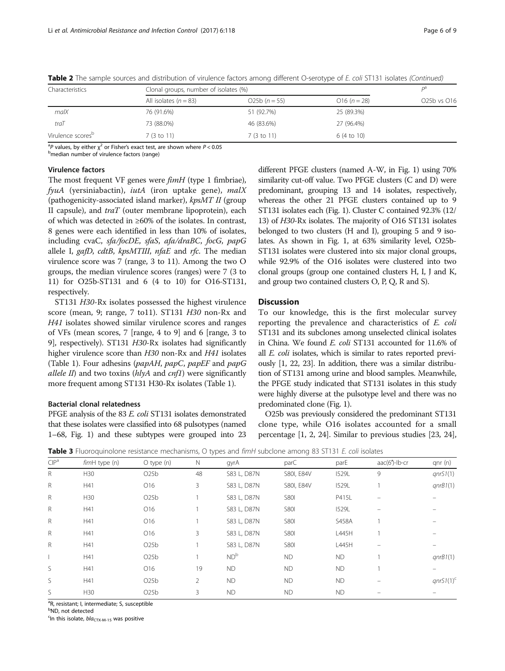| Characteristics               | Clonal groups, number of isolates (%) | D <sup>d</sup> |                |             |
|-------------------------------|---------------------------------------|----------------|----------------|-------------|
|                               | All isolates $(n = 83)$               | $025b(n=55)$   | $016 (n = 28)$ | O25b vs O16 |
| malX                          | 76 (91.6%)                            | 51 (92.7%)     | 25 (89.3%)     |             |
| traT                          | 73 (88.0%)                            | 46 (83.6%)     | 27 (96.4%)     |             |
| Virulence scores <sup>b</sup> | 7 (3 to 11)                           | 7(3 to 11)     | 6 (4 to 10)    |             |

<span id="page-5-0"></span>Table 2 The sample sources and distribution of virulence factors among different O-serotype of E. coli ST131 isolates (Continued)

<sup>a</sup>P values, by either  $\chi^2$  or Fisher's exact test, are shown where  $P < 0.05$ <br><sup>b</sup>median number of virulence factors (range)

b<sub>median</sub> number of virulence factors (range)

# Virulence factors

The most frequent VF genes were  $fimH$  (type 1 fimbriae),  $f$ yuA (yersiniabactin), iutA (iron uptake gene), malX (pathogenicity-associated island marker), kpsMT II (group II capsule), and  $traT$  (outer membrane lipoprotein), each of which was detected in ≥60% of the isolates. In contrast, 8 genes were each identified in less than 10% of isolates, including cvaC, sfa/focDE, sfaS, afa/draBC, focG, papG allele I, gafD, cdtB, kpsMTIII, nfaE and rfc. The median virulence score was 7 (range, 3 to 11). Among the two O groups, the median virulence scores (ranges) were 7 (3 to 11) for O25b-ST131 and 6 (4 to 10) for O16-ST131, respectively.

ST131 H30-Rx isolates possessed the highest virulence score (mean, 9; range, 7 to11). ST131 H30 non-Rx and H41 isolates showed similar virulence scores and ranges of VFs (mean scores, 7 [range, 4 to 9] and 6 [range, 3 to 9], respectively). ST131 H30-Rx isolates had significantly higher virulence score than H30 non-Rx and H41 isolates (Table [1\)](#page-2-0). Four adhesins ( $papAH$ ,  $papC$ ,  $papEF$  and  $papG$ *allele II*) and two toxins  $(hlyA$  and  $cnfI)$  were significantly more frequent among ST131 H30-Rx isolates (Table [1](#page-2-0)).

#### Bacterial clonal relatedness

PFGE analysis of the 83 E. coli ST131 isolates demonstrated that these isolates were classified into 68 pulsotypes (named 1–68, Fig. [1](#page-6-0)) and these subtypes were grouped into 23 different PFGE clusters (named A-W, in Fig. [1\)](#page-6-0) using 70% similarity cut-off value. Two PFGE clusters (C and D) were predominant, grouping 13 and 14 isolates, respectively, whereas the other 21 PFGE clusters contained up to 9 ST131 isolates each (Fig. [1](#page-6-0)). Cluster C contained 92.3% (12/ 13) of H30-Rx isolates. The majority of O16 ST131 isolates belonged to two clusters (H and I), grouping 5 and 9 isolates. As shown in Fig. [1](#page-6-0), at 63% similarity level, O25b-ST131 isolates were clustered into six major clonal groups, while 92.9% of the O16 isolates were clustered into two clonal groups (group one contained clusters H, I, J and K, and group two contained clusters O, P, Q, R and S).

# **Discussion**

To our knowledge, this is the first molecular survey reporting the prevalence and characteristics of E. coli ST131 and its subclones among unselected clinical isolates in China. We found E. coli ST131 accounted for 11.6% of all E. coli isolates, which is similar to rates reported previously [[1](#page-8-0), [22](#page-8-0), [23\]](#page-8-0). In addition, there was a similar distribution of ST131 among urine and blood samples. Meanwhile, the PFGE study indicated that ST131 isolates in this study were highly diverse at the pulsotype level and there was no predominated clone (Fig. [1\)](#page-6-0).

O25b was previously considered the predominant ST131 clone type, while O16 isolates accounted for a small percentage [[1](#page-8-0), [2, 24\]](#page-8-0). Similar to previous studies [[23](#page-8-0), [24](#page-8-0)],

|                  |               |                 | $\overline{\phantom{0}}$ |                 | $\tilde{}$  |              |               |              |
|------------------|---------------|-----------------|--------------------------|-----------------|-------------|--------------|---------------|--------------|
| ClP <sup>a</sup> | fimH type (n) | $O$ type $(n)$  | $\mathbb N$              | gyrA            | parC        | parE         | aac(6')-lb-cr | qnr(n)       |
| R                | H30           | O25b            | 48                       | S83 L, D87N     | S80I, E84V  | <b>I529L</b> | 9             | qnrS1(1)     |
| R                | H41           | O16             | 3                        | S83 L, D87N     | S80I, E84V  | <b>I529L</b> |               | qnB1(1)      |
| R                | H30           | O25b            |                          | S83 L, D87N     | <b>S801</b> | P415L        |               |              |
| R                | H41           | O16             |                          | S83 L, D87N     | <b>S801</b> | <b>I529L</b> |               |              |
| R                | H41           | O16             |                          | S83 L, D87N     | <b>S801</b> | <b>S458A</b> |               |              |
| R                | H41           | O <sub>16</sub> | 3                        | S83 L, D87N     | <b>S801</b> | L445H        |               |              |
| R                | H41           | O25b            |                          | S83 L, D87N     | <b>S801</b> | L445H        |               |              |
|                  | H41           | O25b            |                          | ND <sup>b</sup> | <b>ND</b>   | ND.          |               | qnB1(1)      |
| S                | H41           | O16             | 19                       | <b>ND</b>       | <b>ND</b>   | ND.          |               |              |
| S                | H41           | O25b            | 2                        | <b>ND</b>       | <b>ND</b>   | ND.          |               | $qnrS1(1)^c$ |
| S                | H30           | O25b            | 3                        | <b>ND</b>       | <b>ND</b>   | ND.          |               | $\equiv$     |

**Table 3** Fluoroquinolone resistance mechanisms, O types and fimH subclone among 83 ST131 E. coli isolates

<sup>a</sup>R, resistant; I, intermediate; S, susceptible

<sup>b</sup>ND, not detected

<sup>c</sup>In this isolate,  $bla_{\text{CTX-M-15}}$  was positive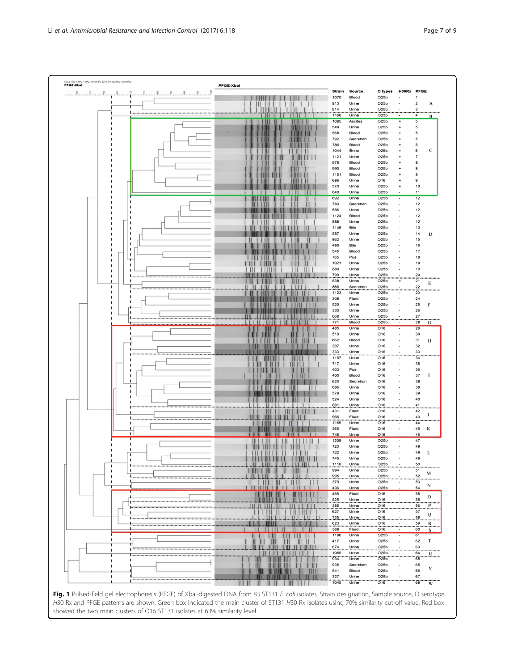<span id="page-6-0"></span>

Fig. 1 Pulsed-field gel electrophoresis (PFGE) of XbaI-digested DNA from 83 ST131 E. coli isolates. Strain designation, Sample source, O serotype, H30 Rx and PFGE patterns are shown. Green box indicated the main cluster of ST131 H30 Rx isolates using 70% similarity cut-off value. Red box showed the two main clusters of O16 ST131 isolates at 63% similarity level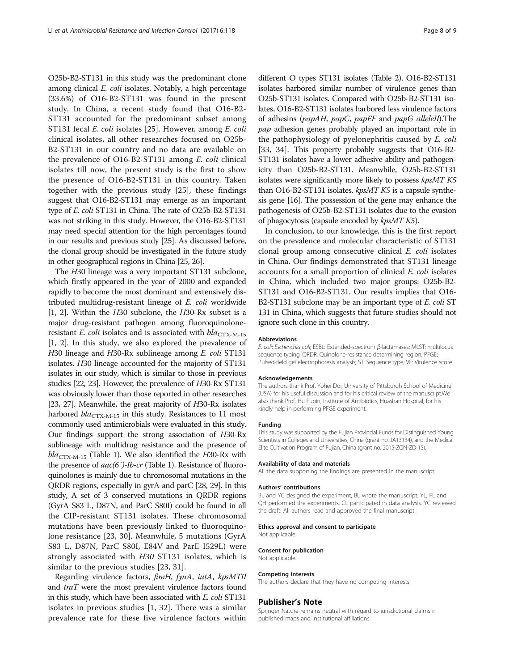O25b-B2-ST131 in this study was the predominant clone among clinical E. coli isolates. Notably, a high percentage (33.6%) of O16-B2-ST131 was found in the present study. In China, a recent study found that O16-B2- ST131 accounted for the predominant subset among ST131 fecal E. coli isolates [[25\]](#page-8-0). However, among E. coli clinical isolates, all other researches focused on O25b-B2-ST131 in our country and no data are available on the prevalence of O16-B2-ST131 among E. coli clinical isolates till now, the present study is the first to show the presence of O16-B2-ST131 in this country. Taken together with the previous study [[25\]](#page-8-0), these findings suggest that O16-B2-ST131 may emerge as an important type of E. coli ST131 in China. The rate of O25b-B2-ST131 was not striking in this study. However, the O16-B2-ST131 may need special attention for the high percentages found in our results and previous study [\[25\]](#page-8-0). As discussed before, the clonal group should be investigated in the future study in other geographical regions in China [\[25, 26\]](#page-8-0).

The H30 lineage was a very important ST131 subclone, which firstly appeared in the year of 2000 and expanded rapidly to become the most dominant and extensively distributed multidrug-resistant lineage of E. coli worldwide [[1, 2](#page-8-0)]. Within the  $H30$  subclone, the  $H30$ -Rx subset is a major drug-resistant pathogen among fluoroquinoloneresistant E. coli isolates and is associated with  $bla_{\text{CTX-M-15}}$ [[1, 2\]](#page-8-0). In this study, we also explored the prevalence of H30 lineage and H30-Rx sublineage among E. coli ST131 isolates. H30 lineage accounted for the majority of ST131 isolates in our study, which is similar to those in previous studies [[22, 23](#page-8-0)]. However, the prevalence of H30-Rx ST131 was obviously lower than those reported in other researches [[23](#page-8-0), [27](#page-8-0)]. Meanwhile, the great majority of H30-Rx isolates harbored  $bla_{\text{CTX-M-15}}$  in this study. Resistances to 11 most commonly used antimicrobials were evaluated in this study. Our findings support the strong association of H30-Rx sublineage with multidrug resistance and the presence of  $bla_{\text{CTX-M-15}}$  (Table [1](#page-2-0)). We also identified the H30-Rx with the presence of *aac*(6')-*Ib-cr* (Table [1](#page-2-0)). Resistance of fluoroquinolones is mainly due to chromosomal mutations in the QRDR regions, especially in gyrA and parC [[28, 29](#page-8-0)]. In this study, A set of 3 conserved mutations in QRDR regions (GyrA S83 L, D87N, and ParC S80I) could be found in all the CIP-resistant ST131 isolates. These chromosomal mutations have been previously linked to fluoroquinolone resistance [\[23](#page-8-0), [30](#page-8-0)]. Meanwhile, 5 mutations (GyrA S83 L, D87N, ParC S80I, E84V and ParE I529L) were strongly associated with H30 ST131 isolates, which is similar to the previous studies [[23, 31](#page-8-0)].

Regarding virulence factors, fimH, fyuA, iutA, kpsMTII and traT were the most prevalent virulence factors found in this study, which have been associated with E. coli ST131 isolates in previous studies [\[1](#page-8-0), [32\]](#page-8-0). There was a similar prevalence rate for these five virulence factors within

different O types ST131 isolates (Table [2\)](#page-4-0). O16-B2-ST131 isolates harbored similar number of virulence genes than O25b-ST131 isolates. Compared with O25b-B2-ST131 isolates, O16-B2-ST131 isolates harbored less virulence factors of adhesins (papAH, papC, papEF and papG alleleII).The pap adhesion genes probably played an important role in the pathophysiology of pyelonephritis caused by E. coli [[33, 34\]](#page-8-0). This property probably suggests that O16-B2-ST131 isolates have a lower adhesive ability and pathogenicity than O25b-B2-ST131. Meanwhile, O25b-B2-ST131 isolates were significantly more likely to possess kpsMT K5 than O16-B2-ST131 isolates. kpsMT K5 is a capsule synthesis gene [\[16](#page-8-0)]. The possession of the gene may enhance the pathogenesis of O25b-B2-ST131 isolates due to the evasion of phagocytosis (capsule encoded by kpsMT K5).

In conclusion, to our knowledge, this is the first report on the prevalence and molecular characteristic of ST131 clonal group among consecutive clinical E. coli isolates in China. Our findings demonstrated that ST131 lineage accounts for a small proportion of clinical E. coli isolates in China, which included two major groups: O25b-B2- ST131 and O16-B2-ST131. Our results implies that O16- B2-ST131 subclone may be an important type of E. coli ST 131 in China, which suggests that future studies should not ignore such clone in this country.

#### Abbreviations

E. coli: Escherichia coli; ESBL: Extended-spectrum β-lactamases; MLST: multilocus sequence typing; QRDR: Quinolone-resistance determining region; PFGE: Pulsed-field gel electrophoresis analysis; ST: Sequence type; VF: Virulence score

#### Acknowledgements

The authors thank Prof. Yohei Doi, University of Pittsburgh School of Medicine (USA) for his useful discussion and for his critical review of the manuscript.We also thank Prof. Hu Fupin, Institute of Antibiotics, Huashan Hospital, for his kindly help in performing PFGE experiment.

#### Funding

This study was supported by the Fujian Provincial Funds for Distinguished Young Scientists in Colleges and Universities, China (grant no. JA13134), and the Medical Elite Cultivation Program of Fujian, China (grant no. 2015-ZQN-ZD-15).

#### Availability of data and materials

All the data supporting the findings are presented in the manuscript.

#### Authors' contributions

BL and YC designed the experiment, BL wrote the manuscript. YL, FL and QH performed the experiments. CL participated in data analysis. YC reviewed the draft. All authors read and approved the final manuscript.

#### Ethics approval and consent to participate

Not applicable.

#### Consent for publication

Not applicable.

#### Competing interests

The authors declare that they have no competing interests.

#### Publisher's Note

Springer Nature remains neutral with regard to jurisdictional claims in published maps and institutional affiliations.